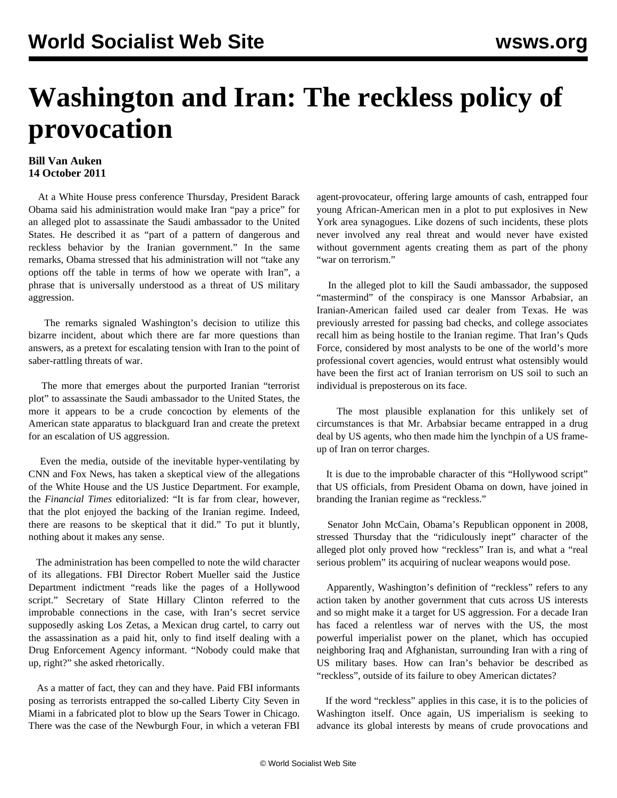## **Washington and Iran: The reckless policy of provocation**

## **Bill Van Auken 14 October 2011**

 At a White House press conference Thursday, President Barack Obama said his administration would make Iran "pay a price" for an alleged plot to assassinate the Saudi ambassador to the United States. He described it as "part of a pattern of dangerous and reckless behavior by the Iranian government." In the same remarks, Obama stressed that his administration will not "take any options off the table in terms of how we operate with Iran", a phrase that is universally understood as a threat of US military aggression.

 The remarks signaled Washington's decision to utilize this bizarre incident, about which there are far more questions than answers, as a pretext for escalating tension with Iran to the point of saber-rattling threats of war.

 The more that emerges about the purported Iranian "terrorist plot" to assassinate the Saudi ambassador to the United States, the more it appears to be a crude concoction by elements of the American state apparatus to blackguard Iran and create the pretext for an escalation of US aggression.

 Even the media, outside of the inevitable hyper-ventilating by CNN and Fox News, has taken a skeptical view of the allegations of the White House and the US Justice Department. For example, the *Financial Times* editorialized: "It is far from clear, however, that the plot enjoyed the backing of the Iranian regime. Indeed, there are reasons to be skeptical that it did." To put it bluntly, nothing about it makes any sense.

 The administration has been compelled to note the wild character of its allegations. FBI Director Robert Mueller said the Justice Department indictment "reads like the pages of a Hollywood script." Secretary of State Hillary Clinton referred to the improbable connections in the case, with Iran's secret service supposedly asking Los Zetas, a Mexican drug cartel, to carry out the assassination as a paid hit, only to find itself dealing with a Drug Enforcement Agency informant. "Nobody could make that up, right?" she asked rhetorically.

 As a matter of fact, they can and they have. Paid FBI informants posing as terrorists entrapped the so-called Liberty City Seven in Miami in a fabricated plot to blow up the Sears Tower in Chicago. There was the case of the Newburgh Four, in which a veteran FBI agent-provocateur, offering large amounts of cash, entrapped four young African-American men in a plot to put explosives in New York area synagogues. Like dozens of such incidents, these plots never involved any real threat and would never have existed without government agents creating them as part of the phony "war on terrorism."

 In the alleged plot to kill the Saudi ambassador, the supposed "mastermind" of the conspiracy is one Manssor Arbabsiar, an Iranian-American failed used car dealer from Texas. He was previously arrested for passing bad checks, and college associates recall him as being hostile to the Iranian regime. That Iran's Quds Force, considered by most analysts to be one of the world's more professional covert agencies, would entrust what ostensibly would have been the first act of Iranian terrorism on US soil to such an individual is preposterous on its face.

 The most plausible explanation for this unlikely set of circumstances is that Mr. Arbabsiar became entrapped in a drug deal by US agents, who then made him the lynchpin of a US frameup of Iran on terror charges.

 It is due to the improbable character of this "Hollywood script" that US officials, from President Obama on down, have joined in branding the Iranian regime as "reckless."

 Senator John McCain, Obama's Republican opponent in 2008, stressed Thursday that the "ridiculously inept" character of the alleged plot only proved how "reckless" Iran is, and what a "real serious problem" its acquiring of nuclear weapons would pose.

 Apparently, Washington's definition of "reckless" refers to any action taken by another government that cuts across US interests and so might make it a target for US aggression. For a decade Iran has faced a relentless war of nerves with the US, the most powerful imperialist power on the planet, which has occupied neighboring Iraq and Afghanistan, surrounding Iran with a ring of US military bases. How can Iran's behavior be described as "reckless", outside of its failure to obey American dictates?

 If the word "reckless" applies in this case, it is to the policies of Washington itself. Once again, US imperialism is seeking to advance its global interests by means of crude provocations and